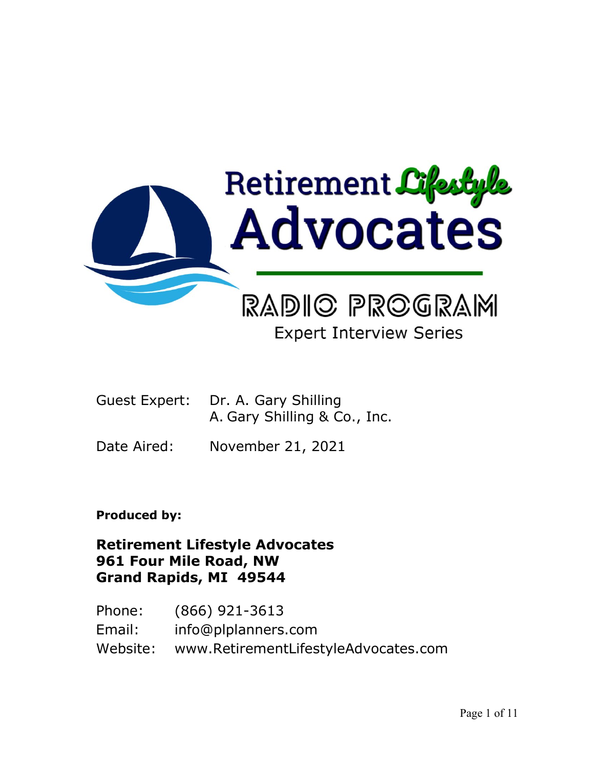

# **Expert Interview Series**

- Guest Expert: Dr. A. Gary Shilling A. Gary Shilling & Co., Inc.
- Date Aired: November 21, 2021

**Produced by:**

**Retirement Lifestyle Advocates 961 Four Mile Road, NW Grand Rapids, MI 49544**

Phone: (866) 921-3613 Email: info@plplanners.com Website: www.RetirementLifestyleAdvocates.com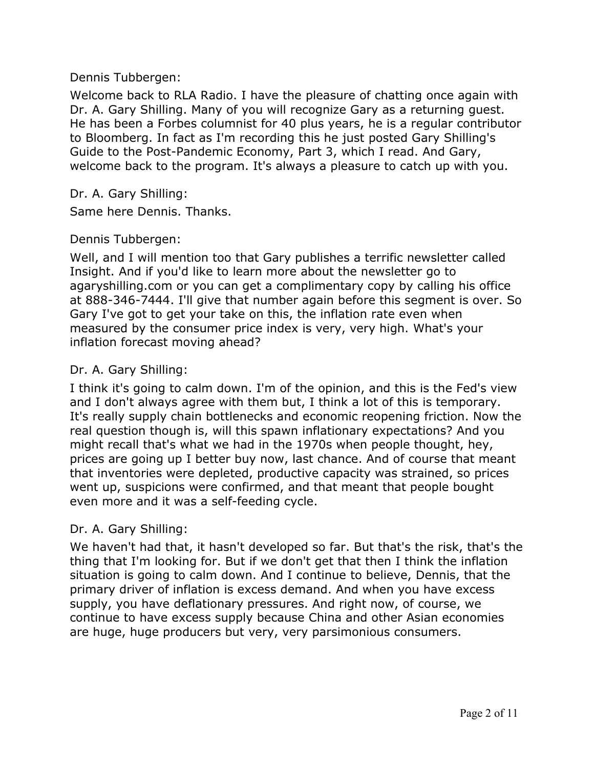Welcome back to RLA Radio. I have the pleasure of chatting once again with Dr. A. Gary Shilling. Many of you will recognize Gary as a returning guest. He has been a Forbes columnist for 40 plus years, he is a regular contributor to Bloomberg. In fact as I'm recording this he just posted Gary Shilling's Guide to the Post-Pandemic Economy, Part 3, which I read. And Gary, welcome back to the program. It's always a pleasure to catch up with you.

## Dr. A. Gary Shilling:

Same here Dennis. Thanks.

## Dennis Tubbergen:

Well, and I will mention too that Gary publishes a terrific newsletter called Insight. And if you'd like to learn more about the newsletter go to agaryshilling.com or you can get a complimentary copy by calling his office at 888-346-7444. I'll give that number again before this segment is over. So Gary I've got to get your take on this, the inflation rate even when measured by the consumer price index is very, very high. What's your inflation forecast moving ahead?

# Dr. A. Gary Shilling:

I think it's going to calm down. I'm of the opinion, and this is the Fed's view and I don't always agree with them but, I think a lot of this is temporary. It's really supply chain bottlenecks and economic reopening friction. Now the real question though is, will this spawn inflationary expectations? And you might recall that's what we had in the 1970s when people thought, hey, prices are going up I better buy now, last chance. And of course that meant that inventories were depleted, productive capacity was strained, so prices went up, suspicions were confirmed, and that meant that people bought even more and it was a self-feeding cycle.

#### Dr. A. Gary Shilling:

We haven't had that, it hasn't developed so far. But that's the risk, that's the thing that I'm looking for. But if we don't get that then I think the inflation situation is going to calm down. And I continue to believe, Dennis, that the primary driver of inflation is excess demand. And when you have excess supply, you have deflationary pressures. And right now, of course, we continue to have excess supply because China and other Asian economies are huge, huge producers but very, very parsimonious consumers.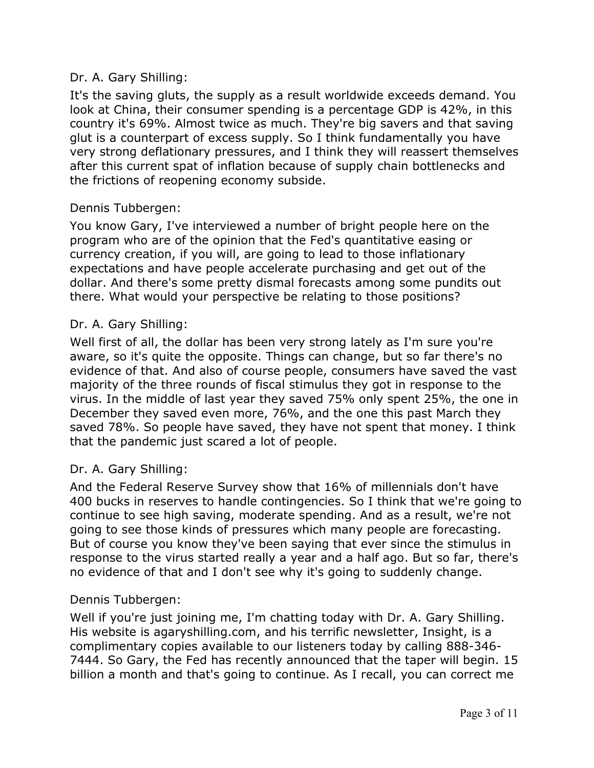# Dr. A. Gary Shilling:

It's the saving gluts, the supply as a result worldwide exceeds demand. You look at China, their consumer spending is a percentage GDP is 42%, in this country it's 69%. Almost twice as much. They're big savers and that saving glut is a counterpart of excess supply. So I think fundamentally you have very strong deflationary pressures, and I think they will reassert themselves after this current spat of inflation because of supply chain bottlenecks and the frictions of reopening economy subside.

# Dennis Tubbergen:

You know Gary, I've interviewed a number of bright people here on the program who are of the opinion that the Fed's quantitative easing or currency creation, if you will, are going to lead to those inflationary expectations and have people accelerate purchasing and get out of the dollar. And there's some pretty dismal forecasts among some pundits out there. What would your perspective be relating to those positions?

## Dr. A. Gary Shilling:

Well first of all, the dollar has been very strong lately as I'm sure you're aware, so it's quite the opposite. Things can change, but so far there's no evidence of that. And also of course people, consumers have saved the vast majority of the three rounds of fiscal stimulus they got in response to the virus. In the middle of last year they saved 75% only spent 25%, the one in December they saved even more, 76%, and the one this past March they saved 78%. So people have saved, they have not spent that money. I think that the pandemic just scared a lot of people.

#### Dr. A. Gary Shilling:

And the Federal Reserve Survey show that 16% of millennials don't have 400 bucks in reserves to handle contingencies. So I think that we're going to continue to see high saving, moderate spending. And as a result, we're not going to see those kinds of pressures which many people are forecasting. But of course you know they've been saying that ever since the stimulus in response to the virus started really a year and a half ago. But so far, there's no evidence of that and I don't see why it's going to suddenly change.

#### Dennis Tubbergen:

Well if you're just joining me, I'm chatting today with Dr. A. Gary Shilling. His website is agaryshilling.com, and his terrific newsletter, Insight, is a complimentary copies available to our listeners today by calling 888-346- 7444. So Gary, the Fed has recently announced that the taper will begin. 15 billion a month and that's going to continue. As I recall, you can correct me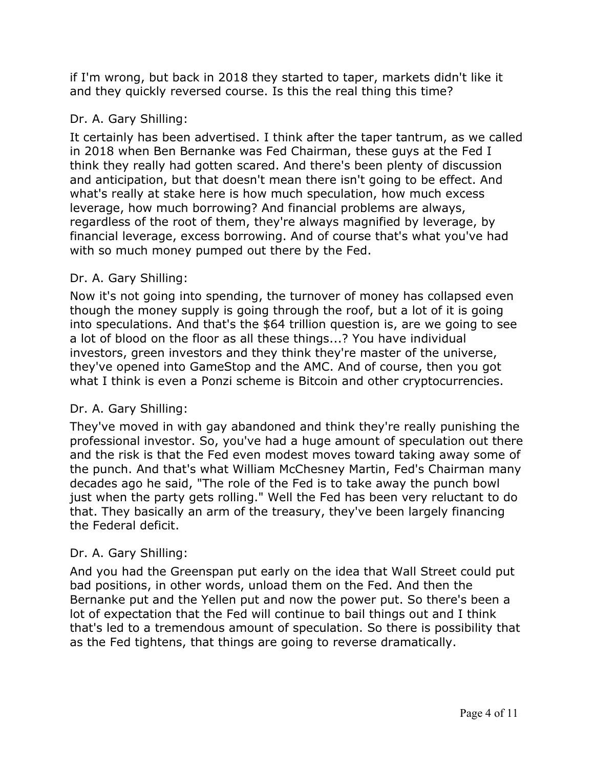if I'm wrong, but back in 2018 they started to taper, markets didn't like it and they quickly reversed course. Is this the real thing this time?

# Dr. A. Gary Shilling:

It certainly has been advertised. I think after the taper tantrum, as we called in 2018 when Ben Bernanke was Fed Chairman, these guys at the Fed I think they really had gotten scared. And there's been plenty of discussion and anticipation, but that doesn't mean there isn't going to be effect. And what's really at stake here is how much speculation, how much excess leverage, how much borrowing? And financial problems are always, regardless of the root of them, they're always magnified by leverage, by financial leverage, excess borrowing. And of course that's what you've had with so much money pumped out there by the Fed.

# Dr. A. Gary Shilling:

Now it's not going into spending, the turnover of money has collapsed even though the money supply is going through the roof, but a lot of it is going into speculations. And that's the \$64 trillion question is, are we going to see a lot of blood on the floor as all these things...? You have individual investors, green investors and they think they're master of the universe, they've opened into GameStop and the AMC. And of course, then you got what I think is even a Ponzi scheme is Bitcoin and other cryptocurrencies.

# Dr. A. Gary Shilling:

They've moved in with gay abandoned and think they're really punishing the professional investor. So, you've had a huge amount of speculation out there and the risk is that the Fed even modest moves toward taking away some of the punch. And that's what William McChesney Martin, Fed's Chairman many decades ago he said, "The role of the Fed is to take away the punch bowl just when the party gets rolling." Well the Fed has been very reluctant to do that. They basically an arm of the treasury, they've been largely financing the Federal deficit.

# Dr. A. Gary Shilling:

And you had the Greenspan put early on the idea that Wall Street could put bad positions, in other words, unload them on the Fed. And then the Bernanke put and the Yellen put and now the power put. So there's been a lot of expectation that the Fed will continue to bail things out and I think that's led to a tremendous amount of speculation. So there is possibility that as the Fed tightens, that things are going to reverse dramatically.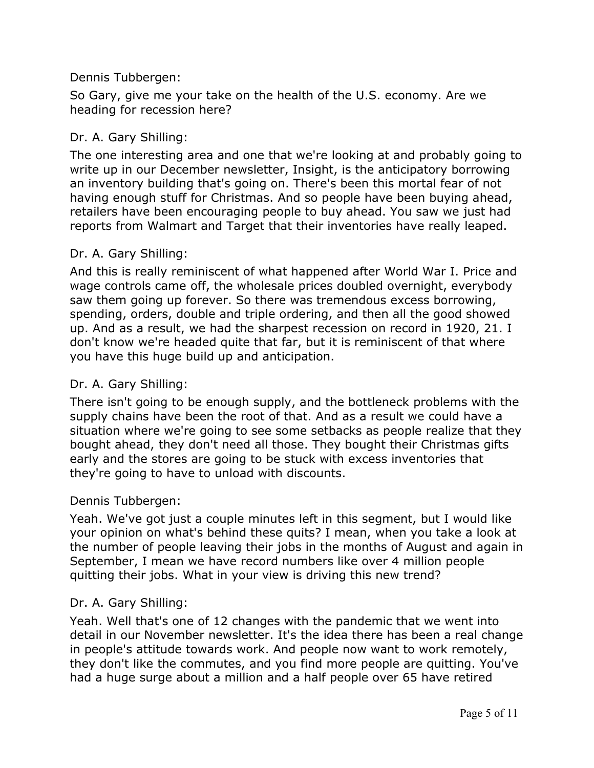So Gary, give me your take on the health of the U.S. economy. Are we heading for recession here?

## Dr. A. Gary Shilling:

The one interesting area and one that we're looking at and probably going to write up in our December newsletter, Insight, is the anticipatory borrowing an inventory building that's going on. There's been this mortal fear of not having enough stuff for Christmas. And so people have been buying ahead, retailers have been encouraging people to buy ahead. You saw we just had reports from Walmart and Target that their inventories have really leaped.

## Dr. A. Gary Shilling:

And this is really reminiscent of what happened after World War I. Price and wage controls came off, the wholesale prices doubled overnight, everybody saw them going up forever. So there was tremendous excess borrowing, spending, orders, double and triple ordering, and then all the good showed up. And as a result, we had the sharpest recession on record in 1920, 21. I don't know we're headed quite that far, but it is reminiscent of that where you have this huge build up and anticipation.

#### Dr. A. Gary Shilling:

There isn't going to be enough supply, and the bottleneck problems with the supply chains have been the root of that. And as a result we could have a situation where we're going to see some setbacks as people realize that they bought ahead, they don't need all those. They bought their Christmas gifts early and the stores are going to be stuck with excess inventories that they're going to have to unload with discounts.

#### Dennis Tubbergen:

Yeah. We've got just a couple minutes left in this segment, but I would like your opinion on what's behind these quits? I mean, when you take a look at the number of people leaving their jobs in the months of August and again in September, I mean we have record numbers like over 4 million people quitting their jobs. What in your view is driving this new trend?

#### Dr. A. Gary Shilling:

Yeah. Well that's one of 12 changes with the pandemic that we went into detail in our November newsletter. It's the idea there has been a real change in people's attitude towards work. And people now want to work remotely, they don't like the commutes, and you find more people are quitting. You've had a huge surge about a million and a half people over 65 have retired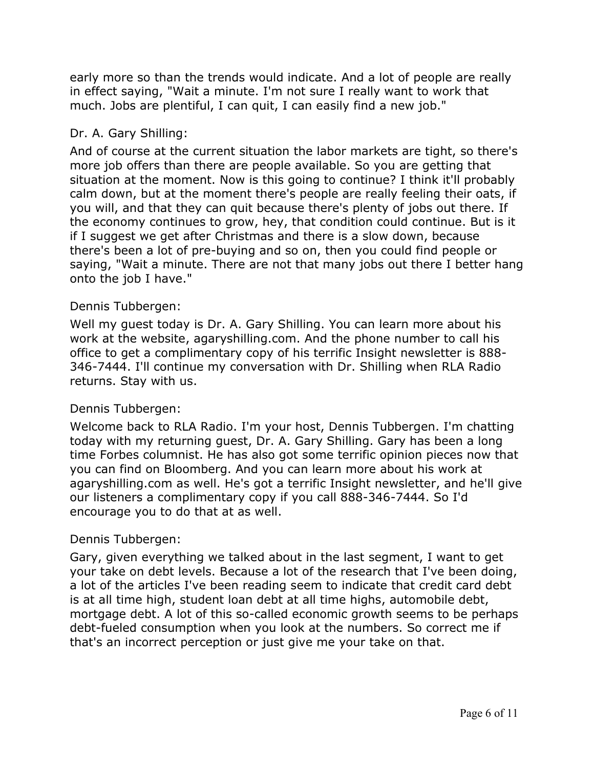early more so than the trends would indicate. And a lot of people are really in effect saying, "Wait a minute. I'm not sure I really want to work that much. Jobs are plentiful, I can quit, I can easily find a new job."

# Dr. A. Gary Shilling:

And of course at the current situation the labor markets are tight, so there's more job offers than there are people available. So you are getting that situation at the moment. Now is this going to continue? I think it'll probably calm down, but at the moment there's people are really feeling their oats, if you will, and that they can quit because there's plenty of jobs out there. If the economy continues to grow, hey, that condition could continue. But is it if I suggest we get after Christmas and there is a slow down, because there's been a lot of pre-buying and so on, then you could find people or saying, "Wait a minute. There are not that many jobs out there I better hang onto the job I have."

## Dennis Tubbergen:

Well my guest today is Dr. A. Gary Shilling. You can learn more about his work at the website, agaryshilling.com. And the phone number to call his office to get a complimentary copy of his terrific Insight newsletter is 888- 346-7444. I'll continue my conversation with Dr. Shilling when RLA Radio returns. Stay with us.

#### Dennis Tubbergen:

Welcome back to RLA Radio. I'm your host, Dennis Tubbergen. I'm chatting today with my returning guest, Dr. A. Gary Shilling. Gary has been a long time Forbes columnist. He has also got some terrific opinion pieces now that you can find on Bloomberg. And you can learn more about his work at agaryshilling.com as well. He's got a terrific Insight newsletter, and he'll give our listeners a complimentary copy if you call 888-346-7444. So I'd encourage you to do that at as well.

#### Dennis Tubbergen:

Gary, given everything we talked about in the last segment, I want to get your take on debt levels. Because a lot of the research that I've been doing, a lot of the articles I've been reading seem to indicate that credit card debt is at all time high, student loan debt at all time highs, automobile debt, mortgage debt. A lot of this so-called economic growth seems to be perhaps debt-fueled consumption when you look at the numbers. So correct me if that's an incorrect perception or just give me your take on that.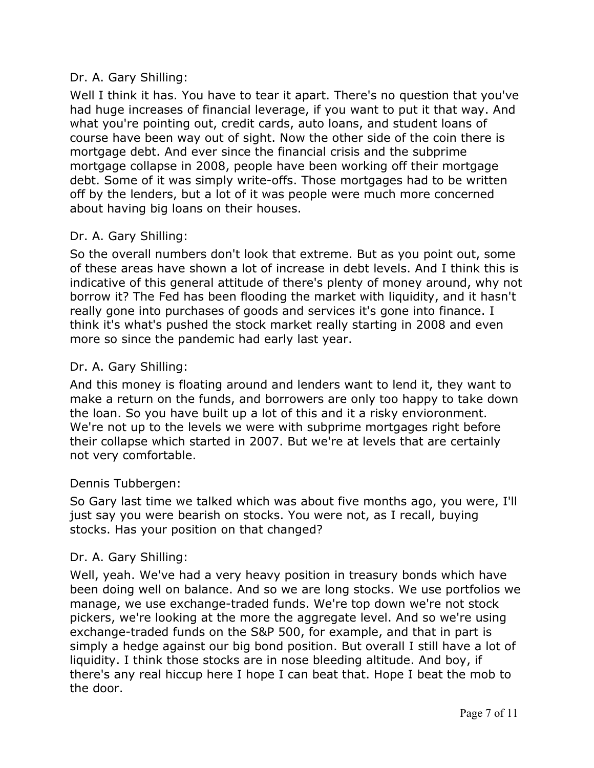# Dr. A. Gary Shilling:

Well I think it has. You have to tear it apart. There's no question that you've had huge increases of financial leverage, if you want to put it that way. And what you're pointing out, credit cards, auto loans, and student loans of course have been way out of sight. Now the other side of the coin there is mortgage debt. And ever since the financial crisis and the subprime mortgage collapse in 2008, people have been working off their mortgage debt. Some of it was simply write-offs. Those mortgages had to be written off by the lenders, but a lot of it was people were much more concerned about having big loans on their houses.

# Dr. A. Gary Shilling:

So the overall numbers don't look that extreme. But as you point out, some of these areas have shown a lot of increase in debt levels. And I think this is indicative of this general attitude of there's plenty of money around, why not borrow it? The Fed has been flooding the market with liquidity, and it hasn't really gone into purchases of goods and services it's gone into finance. I think it's what's pushed the stock market really starting in 2008 and even more so since the pandemic had early last year.

# Dr. A. Gary Shilling:

And this money is floating around and lenders want to lend it, they want to make a return on the funds, and borrowers are only too happy to take down the loan. So you have built up a lot of this and it a risky envioronment. We're not up to the levels we were with subprime mortgages right before their collapse which started in 2007. But we're at levels that are certainly not very comfortable.

# Dennis Tubbergen:

So Gary last time we talked which was about five months ago, you were, I'll just say you were bearish on stocks. You were not, as I recall, buying stocks. Has your position on that changed?

# Dr. A. Gary Shilling:

Well, yeah. We've had a very heavy position in treasury bonds which have been doing well on balance. And so we are long stocks. We use portfolios we manage, we use exchange-traded funds. We're top down we're not stock pickers, we're looking at the more the aggregate level. And so we're using exchange-traded funds on the S&P 500, for example, and that in part is simply a hedge against our big bond position. But overall I still have a lot of liquidity. I think those stocks are in nose bleeding altitude. And boy, if there's any real hiccup here I hope I can beat that. Hope I beat the mob to the door.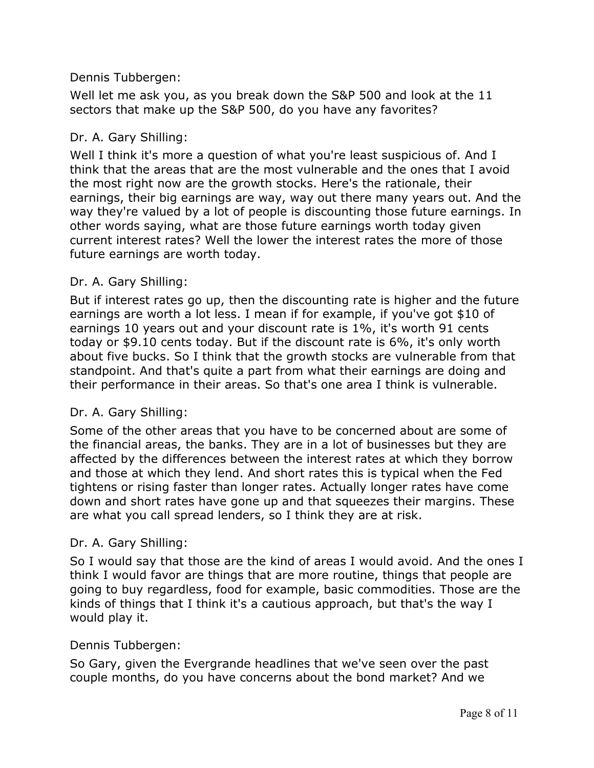Well let me ask you, as you break down the S&P 500 and look at the 11 sectors that make up the S&P 500, do you have any favorites?

#### Dr. A. Gary Shilling:

Well I think it's more a question of what you're least suspicious of. And I think that the areas that are the most vulnerable and the ones that I avoid the most right now are the growth stocks. Here's the rationale, their earnings, their big earnings are way, way out there many years out. And the way they're valued by a lot of people is discounting those future earnings. In other words saying, what are those future earnings worth today given current interest rates? Well the lower the interest rates the more of those future earnings are worth today.

#### Dr. A. Gary Shilling:

But if interest rates go up, then the discounting rate is higher and the future earnings are worth a lot less. I mean if for example, if you've got \$10 of earnings 10 years out and your discount rate is 1%, it's worth 91 cents today or \$9.10 cents today. But if the discount rate is 6%, it's only worth about five bucks. So I think that the growth stocks are vulnerable from that standpoint. And that's quite a part from what their earnings are doing and their performance in their areas. So that's one area I think is vulnerable.

#### Dr. A. Gary Shilling:

Some of the other areas that you have to be concerned about are some of the financial areas, the banks. They are in a lot of businesses but they are affected by the differences between the interest rates at which they borrow and those at which they lend. And short rates this is typical when the Fed tightens or rising faster than longer rates. Actually longer rates have come down and short rates have gone up and that squeezes their margins. These are what you call spread lenders, so I think they are at risk.

#### Dr. A. Gary Shilling:

So I would say that those are the kind of areas I would avoid. And the ones I think I would favor are things that are more routine, things that people are going to buy regardless, food for example, basic commodities. Those are the kinds of things that I think it's a cautious approach, but that's the way I would play it.

#### Dennis Tubbergen:

So Gary, given the Evergrande headlines that we've seen over the past couple months, do you have concerns about the bond market? And we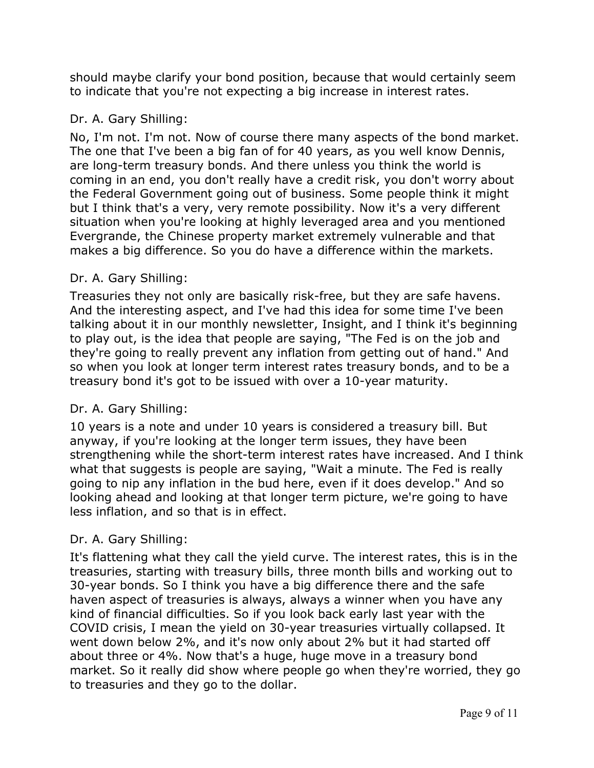should maybe clarify your bond position, because that would certainly seem to indicate that you're not expecting a big increase in interest rates.

# Dr. A. Gary Shilling:

No, I'm not. I'm not. Now of course there many aspects of the bond market. The one that I've been a big fan of for 40 years, as you well know Dennis, are long-term treasury bonds. And there unless you think the world is coming in an end, you don't really have a credit risk, you don't worry about the Federal Government going out of business. Some people think it might but I think that's a very, very remote possibility. Now it's a very different situation when you're looking at highly leveraged area and you mentioned Evergrande, the Chinese property market extremely vulnerable and that makes a big difference. So you do have a difference within the markets.

# Dr. A. Gary Shilling:

Treasuries they not only are basically risk-free, but they are safe havens. And the interesting aspect, and I've had this idea for some time I've been talking about it in our monthly newsletter, Insight, and I think it's beginning to play out, is the idea that people are saying, "The Fed is on the job and they're going to really prevent any inflation from getting out of hand." And so when you look at longer term interest rates treasury bonds, and to be a treasury bond it's got to be issued with over a 10-year maturity.

# Dr. A. Gary Shilling:

10 years is a note and under 10 years is considered a treasury bill. But anyway, if you're looking at the longer term issues, they have been strengthening while the short-term interest rates have increased. And I think what that suggests is people are saying, "Wait a minute. The Fed is really going to nip any inflation in the bud here, even if it does develop." And so looking ahead and looking at that longer term picture, we're going to have less inflation, and so that is in effect.

# Dr. A. Gary Shilling:

It's flattening what they call the yield curve. The interest rates, this is in the treasuries, starting with treasury bills, three month bills and working out to 30-year bonds. So I think you have a big difference there and the safe haven aspect of treasuries is always, always a winner when you have any kind of financial difficulties. So if you look back early last year with the COVID crisis, I mean the yield on 30-year treasuries virtually collapsed. It went down below 2%, and it's now only about 2% but it had started off about three or 4%. Now that's a huge, huge move in a treasury bond market. So it really did show where people go when they're worried, they go to treasuries and they go to the dollar.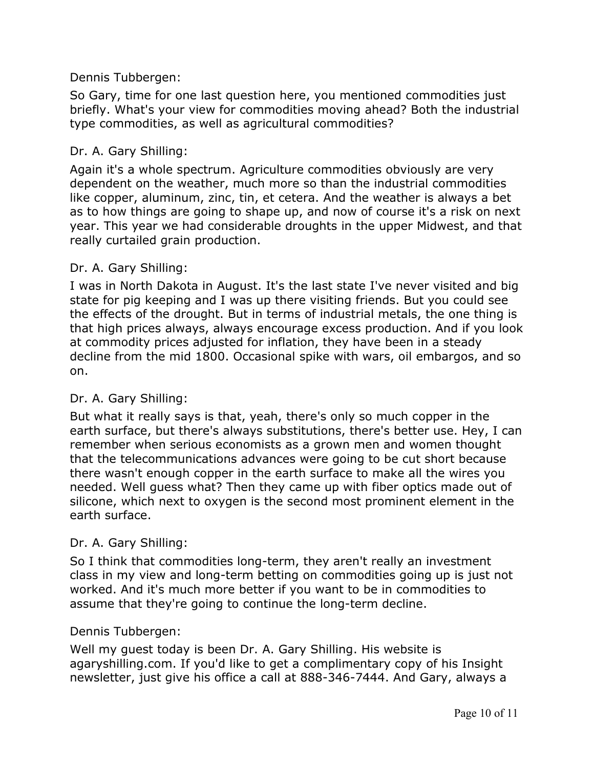So Gary, time for one last question here, you mentioned commodities just briefly. What's your view for commodities moving ahead? Both the industrial type commodities, as well as agricultural commodities?

## Dr. A. Gary Shilling:

Again it's a whole spectrum. Agriculture commodities obviously are very dependent on the weather, much more so than the industrial commodities like copper, aluminum, zinc, tin, et cetera. And the weather is always a bet as to how things are going to shape up, and now of course it's a risk on next year. This year we had considerable droughts in the upper Midwest, and that really curtailed grain production.

## Dr. A. Gary Shilling:

I was in North Dakota in August. It's the last state I've never visited and big state for pig keeping and I was up there visiting friends. But you could see the effects of the drought. But in terms of industrial metals, the one thing is that high prices always, always encourage excess production. And if you look at commodity prices adjusted for inflation, they have been in a steady decline from the mid 1800. Occasional spike with wars, oil embargos, and so on.

#### Dr. A. Gary Shilling:

But what it really says is that, yeah, there's only so much copper in the earth surface, but there's always substitutions, there's better use. Hey, I can remember when serious economists as a grown men and women thought that the telecommunications advances were going to be cut short because there wasn't enough copper in the earth surface to make all the wires you needed. Well guess what? Then they came up with fiber optics made out of silicone, which next to oxygen is the second most prominent element in the earth surface.

# Dr. A. Gary Shilling:

So I think that commodities long-term, they aren't really an investment class in my view and long-term betting on commodities going up is just not worked. And it's much more better if you want to be in commodities to assume that they're going to continue the long-term decline.

#### Dennis Tubbergen:

Well my guest today is been Dr. A. Gary Shilling. His website is agaryshilling.com. If you'd like to get a complimentary copy of his Insight newsletter, just give his office a call at 888-346-7444. And Gary, always a